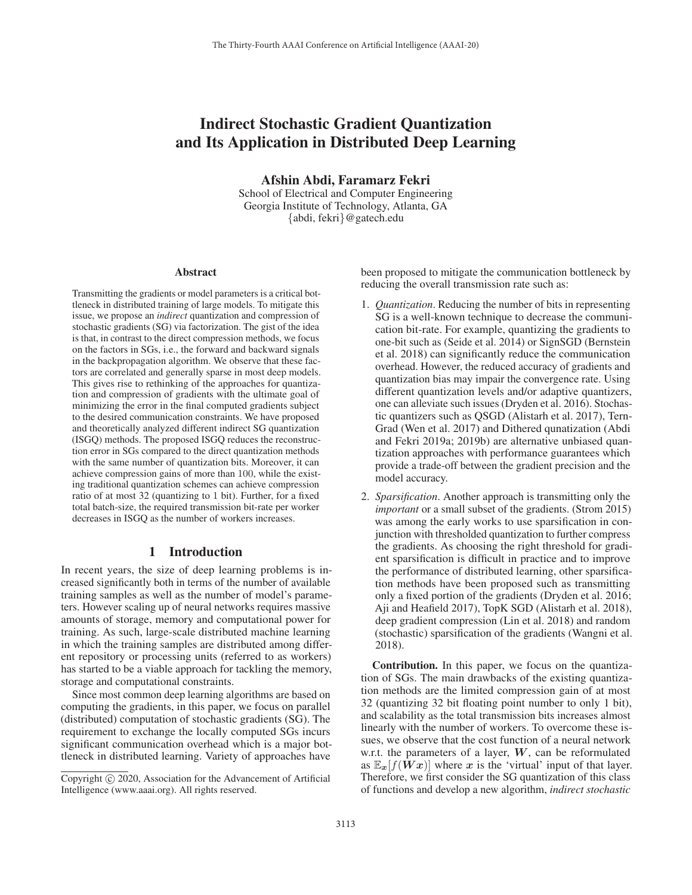# Indirect Stochastic Gradient Quantization and Its Application in Distributed Deep Learning

Afshin Abdi, Faramarz Fekri

School of Electrical and Computer Engineering Georgia Institute of Technology, Atlanta, GA {abdi, fekri}@gatech.edu

#### **Abstract**

Transmitting the gradients or model parameters is a critical bottleneck in distributed training of large models. To mitigate this issue, we propose an *indirect* quantization and compression of stochastic gradients (SG) via factorization. The gist of the idea is that, in contrast to the direct compression methods, we focus on the factors in SGs, i.e., the forward and backward signals in the backpropagation algorithm. We observe that these factors are correlated and generally sparse in most deep models. This gives rise to rethinking of the approaches for quantization and compression of gradients with the ultimate goal of minimizing the error in the final computed gradients subject to the desired communication constraints. We have proposed and theoretically analyzed different indirect SG quantization (ISGQ) methods. The proposed ISGQ reduces the reconstruction error in SGs compared to the direct quantization methods with the same number of quantization bits. Moreover, it can achieve compression gains of more than 100, while the existing traditional quantization schemes can achieve compression ratio of at most 32 (quantizing to 1 bit). Further, for a fixed total batch-size, the required transmission bit-rate per worker decreases in ISGQ as the number of workers increases.

# 1 Introduction

In recent years, the size of deep learning problems is increased significantly both in terms of the number of available training samples as well as the number of model's parameters. However scaling up of neural networks requires massive amounts of storage, memory and computational power for training. As such, large-scale distributed machine learning in which the training samples are distributed among different repository or processing units (referred to as workers) has started to be a viable approach for tackling the memory, storage and computational constraints.

Since most common deep learning algorithms are based on computing the gradients, in this paper, we focus on parallel (distributed) computation of stochastic gradients (SG). The requirement to exchange the locally computed SGs incurs significant communication overhead which is a major bottleneck in distributed learning. Variety of approaches have

been proposed to mitigate the communication bottleneck by reducing the overall transmission rate such as:

- 1. *Quantization*. Reducing the number of bits in representing SG is a well-known technique to decrease the communication bit-rate. For example, quantizing the gradients to one-bit such as (Seide et al. 2014) or SignSGD (Bernstein et al. 2018) can significantly reduce the communication overhead. However, the reduced accuracy of gradients and quantization bias may impair the convergence rate. Using different quantization levels and/or adaptive quantizers, one can alleviate such issues (Dryden et al. 2016). Stochastic quantizers such as QSGD (Alistarh et al. 2017), Tern-Grad (Wen et al. 2017) and Dithered qunatization (Abdi and Fekri 2019a; 2019b) are alternative unbiased quantization approaches with performance guarantees which provide a trade-off between the gradient precision and the model accuracy.
- 2. *Sparsification*. Another approach is transmitting only the *important* or a small subset of the gradients. (Strom 2015) was among the early works to use sparsification in conjunction with thresholded quantization to further compress the gradients. As choosing the right threshold for gradient sparsification is difficult in practice and to improve the performance of distributed learning, other sparsification methods have been proposed such as transmitting only a fixed portion of the gradients (Dryden et al. 2016; Aji and Heafield 2017), TopK SGD (Alistarh et al. 2018), deep gradient compression (Lin et al. 2018) and random (stochastic) sparsification of the gradients (Wangni et al. 2018).

Contribution. In this paper, we focus on the quantization of SGs. The main drawbacks of the existing quantization methods are the limited compression gain of at most 32 (quantizing 32 bit floating point number to only 1 bit), and scalability as the total transmission bits increases almost linearly with the number of workers. To overcome these issues, we observe that the cost function of a neural network w.r.t. the parameters of a layer, *W*, can be reformulated as  $\mathbb{E}_x[f(\mathbf{W} x)]$  where x is the 'virtual' input of that layer. Therefore, we first consider the SG quantization of this class of functions and develop a new algorithm, *indirect stochastic*

Copyright  $\odot$  2020, Association for the Advancement of Artificial Intelligence (www.aaai.org). All rights reserved.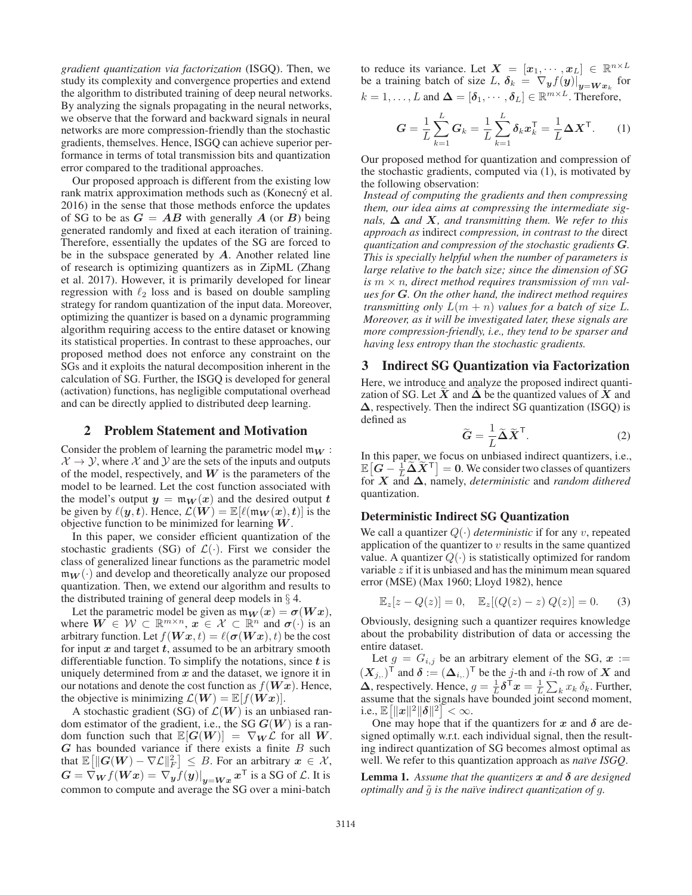*gradient quantization via factorization* (ISGQ). Then, we study its complexity and convergence properties and extend the algorithm to distributed training of deep neural networks. By analyzing the signals propagating in the neural networks, we observe that the forward and backward signals in neural networks are more compression-friendly than the stochastic gradients, themselves. Hence, ISGQ can achieve superior performance in terms of total transmission bits and quantization error compared to the traditional approaches.

Our proposed approach is different from the existing low rank matrix approximation methods such as (Konecný et al. 2016) in the sense that those methods enforce the updates of SG to be as  $G = AB$  with generally A (or B) being generated randomly and fixed at each iteration of training. Therefore, essentially the updates of the SG are forced to be in the subspace generated by *A*. Another related line of research is optimizing quantizers as in ZipML (Zhang et al. 2017). However, it is primarily developed for linear regression with  $\ell_2$  loss and is based on double sampling<br>strategy for random quantization of the input data Moreover strategy for random quantization of the input data. Moreover, optimizing the quantizer is based on a dynamic programming algorithm requiring access to the entire dataset or knowing its statistical properties. In contrast to these approaches, our proposed method does not enforce any constraint on the SGs and it exploits the natural decomposition inherent in the calculation of SG. Further, the ISGQ is developed for general (activation) functions, has negligible computational overhead and can be directly applied to distributed deep learning.

#### 2 Problem Statement and Motivation

Consider the problem of learning the parametric model  $m_W$ :  $\mathcal{X} \rightarrow \mathcal{Y}$ , where  $\mathcal{X}$  and  $\mathcal{Y}$  are the sets of the inputs and outputs of the model, respectively, and *W* is the parameters of the model to be learned. Let the cost function associated with the model's output  $y = m_W(x)$  and the desired output *t* be given by  $\ell(y,t)$ . Hence,  $\mathcal{L}(\tilde{W}) = \mathbb{E}[\ell(\mathfrak{m}_W(x), t)]$  is the objective function to be minimized for learning  $W$ objective function to be minimized for learning *W*.

In this paper, we consider efficient quantization of the stochastic gradients (SG) of  $\mathcal{L}(\cdot)$ . First we consider the class of generalized linear functions as the parametric model  $m_W(\cdot)$  and develop and theoretically analyze our proposed quantization. Then, we extend our algorithm and results to the distributed training of general deep models in  $\S$  4.

Let the parametric model be given as  $m_W(x) = \sigma(Wx)$ , where  $W \in \mathcal{W} \subset \mathbb{R}^{m \times n}$ ,  $x \in \mathcal{X} \subset \mathbb{R}^n$  and  $\sigma(\cdot)$  is an arbitrary function. Let  $f(\boldsymbol{W}\boldsymbol{x},t) = \ell(\boldsymbol{\sigma}(\boldsymbol{W}\boldsymbol{x}),t)$  be the cost<br>for input x and target t assumed to be an arbitrary smooth for input *x* and target *t*, assumed to be an arbitrary smooth differentiable function. To simplify the notations, since *t* is uniquely determined from *x* and the dataset, we ignore it in our notations and denote the cost function as  $f(\boldsymbol{W}\boldsymbol{x})$ . Hence, the objective is minimizing  $\mathcal{L}(\boldsymbol{W}) = \mathbb{E}[f(\boldsymbol{W}\boldsymbol{x})].$ 

A stochastic gradient (SG) of  $\mathcal{L}(W)$  is an unbiased random estimator of the gradient, i.e., the SG *<sup>G</sup>*(*W*) is a random function such that  $\mathbb{E}[G(W)] = \nabla_W \mathcal{L}$  for all W. *<sup>G</sup>* has bounded variance if there exists a finite B such that  $\mathbb{E}[\|G(W) - \nabla \mathcal{L}\|_F^2] \leq B$ . For an arbitrary  $x \in \mathcal{X}$ ,<br> $G = \nabla f(Wx) = \nabla f(x)$  and  $\mathbb{E}[\|G(X) - \nabla f(x)\|_F^2]$  $G = \nabla_{\boldsymbol{W}} f(\boldsymbol{W}\boldsymbol{x}) = \nabla_{\boldsymbol{y}} f(\boldsymbol{y})|_{\boldsymbol{y}=\boldsymbol{W}\boldsymbol{x}} \boldsymbol{x}^{\mathsf{T}}$  is a SG of  $\mathcal{L}$ . It is common to compute and average the SG over a mini hatch common to compute and average the SG over a mini-batch

to reduce its variance. Let  $X = [x_1, \dots, x_L] \in \mathbb{R}^{n \times L}$ be a training batch of size L,  $\delta_k = \nabla_y f(y)|_{y=Wx_k}$  for  $k = 1, \ldots, L$  and  $\Delta = [\delta_1, \cdots, \delta_L] \in \mathbb{R}^{m \times L}$ . Therefore,

$$
G = \frac{1}{L} \sum_{k=1}^{L} G_k = \frac{1}{L} \sum_{k=1}^{L} \delta_k x_k^{\mathsf{T}} = \frac{1}{L} \Delta X^{\mathsf{T}}.
$$
 (1)

Our proposed method for quantization and compression of the stochastic gradients, computed via (1), is motivated by the following observation:

*Instead of computing the gradients and then compressing them, our idea aims at compressing the intermediate signals,*  $\Delta$  *and*  $X$ *, and transmitting them. We refer to this approach as* indirect *compression, in contrast to the* direct *quantization and compression of the stochastic gradients G. This is specially helpful when the number of parameters is large relative to the batch size; since the dimension of SG* is  $m \times n$ , direct method requires transmission of mn val*ues for G. On the other hand, the indirect method requires transmitting only*  $L(m + n)$  *values for a batch of size L. Moreover, as it will be investigated later, these signals are more compression-friendly, i.e., they tend to be sparser and having less entropy than the stochastic gradients.*

# 3 Indirect SG Quantization via Factorization

Here, we introduce and analyze the proposed indirect quantization of SG. Let  $X$  and  $\Delta$  be the quantized values of  $X$  and **Δ**, respectively. Then the indirect SG quantization (ISGQ) is defined as

$$
\widetilde{G} = \frac{1}{L} \widetilde{\Delta} \widetilde{X}^{\mathsf{T}}.
$$
 (2)

L In this paper, we focus on unbiased indirect quantizers, i.e.,  $\mathbb{E} \left[ G - \frac{1}{L} \tilde{\Delta} \tilde{X}^T \right] = 0$ . We consider two classes of quantizers for  $X$  and  $\Delta$  namely *deterministic* and *random dithered* for *X* and **Δ**, namely, *deterministic* and *random dithered* quantization.

#### Deterministic Indirect SG Quantization

We call a quantizer  $Q(\cdot)$  *deterministic* if for any v, repeated application of the quantizer to  $v$  results in the same quantized value. A quantizer  $Q(\cdot)$  is statistically optimized for random variable  $z$  if it is unbiased and has the minimum mean squared error (MSE) (Max 1960; Lloyd 1982), hence

$$
\mathbb{E}_z[z - Q(z)] = 0, \quad \mathbb{E}_z[(Q(z) - z) Q(z)] = 0. \tag{3}
$$

Obviously, designing such a quantizer requires knowledge about the probability distribution of data or accessing the entire dataset.

Let  $g = G_{i,j}$  be an arbitrary element of the SG,  $x :=$  $(X_{j_i})^{\mathsf{T}}$  and  $\delta := (\Delta_{i_j})^{\mathsf{T}}$  be the *j*-th and *i*-th row of *X* and  $\Delta$  respectively. Hence  $a = \pm \delta^{\mathsf{T}} x = \pm \sum_{i} x_i \delta_i$ . Further  $\Delta$ , respectively. Hence,  $g = \frac{1}{L} \delta^T x = \frac{1}{L} \sum_k x_k \delta_k$ . Further, assume that the signals have bounded joint second moment assume that the signals have bounded joint second moment, i.e.,  $\mathbb{E} \left[ \|\boldsymbol{x}\|^2 \|\boldsymbol{\delta}\|^2 \right] < \infty$ .<br>One may hope that if

One may hope that if the quantizers for  $x$  and  $\delta$  are designed optimally w.r.t. each individual signal, then the resulting indirect quantization of SG becomes almost optimal as well. We refer to this quantization approach as *naïve ISGQ*.

Lemma 1. *Assume that the quantizers x and δ are designed optimally and*  $\tilde{g}$  *is the naïve indirect quantization of g.*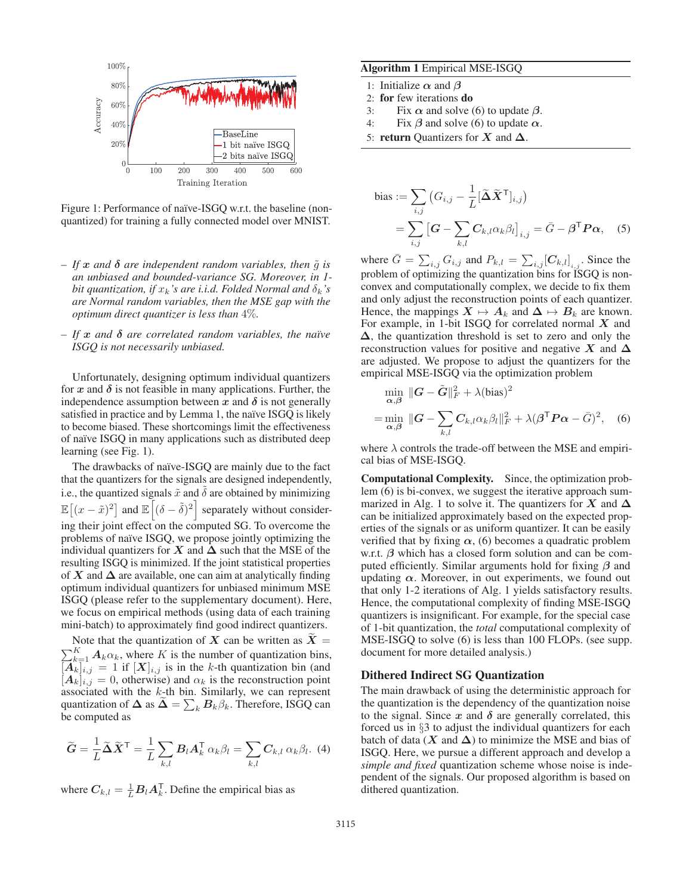

Figure 1: Performance of naïve-ISGQ w.r.t. the baseline (nonquantized) for training a fully connected model over MNIST.

- $-If$ *x and*  $\delta$  *are independent random variables, then*  $\tilde{q}$  *is an unbiased and bounded-variance SG. Moreover, in 1 bit quantization, if*  $x_k$ *'s are i.i.d. Folded Normal and*  $\delta_k$ *'s are Normal random variables, then the MSE gap with the optimum direct quantizer is less than* 4%*.*
- $-If$  $x$  *and*  $\delta$  *are correlated random variables, the naïve ISGQ is not necessarily unbiased.*

Unfortunately, designing optimum individual quantizers for  $x$  and  $\delta$  is not feasible in many applications. Further, the independence assumption between  $x$  and  $\delta$  is not generally satisfied in practice and by Lemma 1, the naïve ISGQ is likely to become biased. These shortcomings limit the effectiveness of naïve ISGQ in many applications such as distributed deep learning (see Fig. 1).

The drawbacks of naïve-ISGQ are mainly due to the fact that the quantizers for the signals are designed independently, i.e., the quantized signals  $\tilde{x}$  and  $\delta$  are obtained by minimizing  $\mathbb{E}[(x-\tilde{x})^2]$  and  $\mathbb{E}[(\delta-\tilde{\delta})^2]$  separately without considering their joint effect on the computed SG. To overcome the problems of naïve ISGQ, we propose jointly optimizing the individual quantizers for  $X$  and  $\Delta$  such that the MSE of the resulting ISGQ is minimized. If the joint statistical properties of  $X$  and  $\Delta$  are available, one can aim at analytically finding optimum individual quantizers for unbiased minimum MSE ISGQ (please refer to the supplementary document). Here, we focus on empirical methods (using data of each training mini-batch) to approximately find good indirect quantizers.

Note that the quantization of *X* can be written as  $X = \sum_{k=1}^{K} A_k \alpha_k$ , where *K* is the number of quantization bins  $\sum_{k=1}^{K} A_k \alpha_k$ , where K is the number of quantization bins,<br> $\sum_{k=1}^{K} a_k = 1$  if  $[X]_{k \geq 1}$  is in the k-th quantization bin (and  $[A_k]_{i,j} = 1$  if  $[X]_{i,j}$  is in the k-th quantization bin (and  $[A_k]_{i,j} = 0$  otherwise) and  $\alpha_k$  is the reconstruction point  $[A_k]_{i,j} = 0$ , otherwise) and  $\alpha_k$  is the reconstruction point associated with the k-th bin. Similarly, we can represent associated with the k-th bin. Similarly, we can represent<br>quantization of  $\Delta$  as  $\widetilde{\Delta} = \sum_i B_{i,j} \widetilde{B}_{i,j}$ . Therefore, ISGO can quantization of  $\Delta$  as  $\widetilde{\Delta} = \sum_k B_k \beta_k$ . Therefore, ISGQ can be computed as

$$
\widetilde{G} = \frac{1}{L} \widetilde{\Delta} \widetilde{X}^{\mathsf{T}} = \frac{1}{L} \sum_{k,l} B_l A_k^{\mathsf{T}} \alpha_k \beta_l = \sum_{k,l} C_{k,l} \alpha_k \beta_l.
$$
 (4)

where  $C_{k,l} = \frac{1}{L} B_l A_k^{\mathsf{T}}$ . Define the empirical bias as

## Algorithm 1 Empirical MSE-ISGQ

- 1: Initialize *α* and *β*
- 2: for few iterations do
- 3: Fix  $\alpha$  and solve (6) to update  $\beta$ .<br>4: Fix  $\beta$  and solve (6) to update  $\alpha$ .
- Fix  $\beta$  and solve (6) to update  $\alpha$ .
- 5: return Quantizers for *X* and **Δ**.

bias := 
$$
\sum_{i,j} (G_{i,j} - \frac{1}{L} [\tilde{\Delta} \tilde{X}^{\mathsf{T}}]_{i,j})
$$
  
= 
$$
\sum_{i,j} [G - \sum_{k,l} C_{k,l} \alpha_k \beta_l]_{i,j} = \bar{G} - \beta^{\mathsf{T}} P \alpha,
$$
 (5)

where  $\bar{G} = \sum_{i,j} G_{i,j}$  and  $P_{k,l} = \sum_{i,j} [C_{k,l}]_{i,j}$ . Since the problem of optimizing the quantization bins for ISGQ is nonconvex and computationally complex, we decide to fix them and only adjust the reconstruction points of each quantizer. Hence, the mappings  $X \mapsto A_k$  and  $\Delta \mapsto B_k$  are known. For example, in 1-bit ISGQ for correlated normal *X* and **Δ**, the quantization threshold is set to zero and only the reconstruction values for positive and negative *X* and  $\Delta$ are adjusted. We propose to adjust the quantizers for the empirical MSE-ISGQ via the optimization problem

$$
\min_{\alpha,\beta} \|G - \tilde{G}\|_F^2 + \lambda(\text{bias})^2
$$
  
= 
$$
\min_{\alpha,\beta} \|G - \sum_{k,l} C_{k,l} \alpha_k \beta_l\|_F^2 + \lambda (\beta^{\mathsf{T}} P \alpha - \bar{G})^2, \quad (6)
$$

where  $\lambda$  controls the trade-off between the MSE and empirical bias of MSE-ISGQ.

Computational Complexity. Since, the optimization problem (6) is bi-convex, we suggest the iterative approach summarized in Alg. 1 to solve it. The quantizers for  $X$  and  $\Delta$ can be initialized approximately based on the expected properties of the signals or as uniform quantizer. It can be easily verified that by fixing  $\alpha$ , (6) becomes a quadratic problem w.r.t. *β* which has a closed form solution and can be computed efficiently. Similar arguments hold for fixing *β* and updating  $\alpha$ . Moreover, in out experiments, we found out that only 1-2 iterations of Alg. 1 yields satisfactory results. Hence, the computational complexity of finding MSE-ISGQ quantizers is insignificant. For example, for the special case of 1-bit quantization, the *total* computational complexity of MSE-ISGQ to solve (6) is less than 100 FLOPs. (see supp. document for more detailed analysis.)

#### Dithered Indirect SG Quantization

The main drawback of using the deterministic approach for the quantization is the dependency of the quantization noise to the signal. Since  $x$  and  $\delta$  are generally correlated, this forced us in §3 to adjust the individual quantizers for each batch of data ( $X$  and  $\Delta$ ) to minimize the MSE and bias of ISGQ. Here, we pursue a different approach and develop a *simple and fixed* quantization scheme whose noise is independent of the signals. Our proposed algorithm is based on dithered quantization.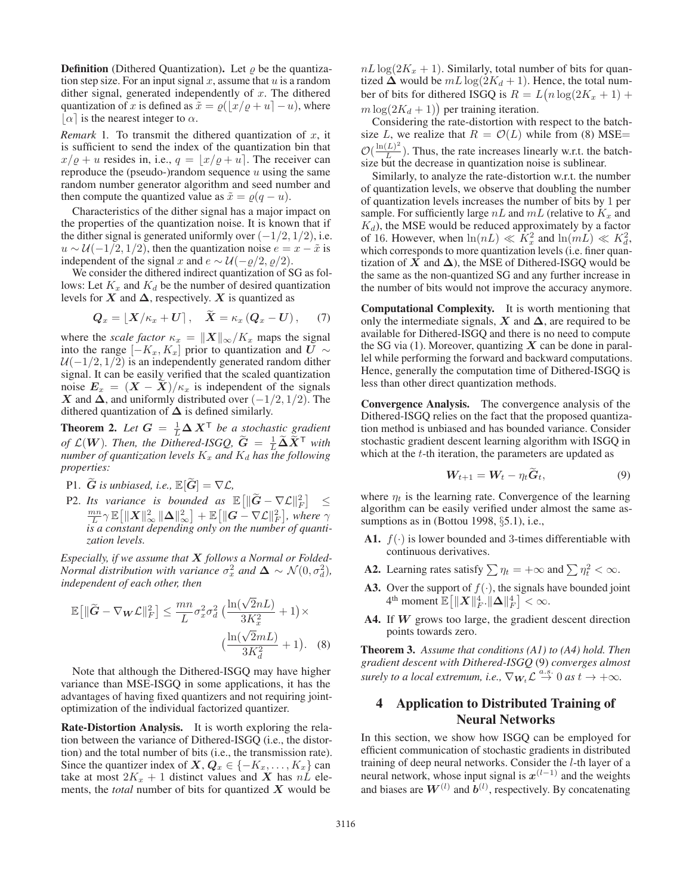**Definition** (Dithered Quantization). Let  $\rho$  be the quantization step size. For an input signal  $x$ , assume that  $u$  is a random dither signal, generated independently of  $x$ . The dithered quantization of x is defined as  $\tilde{x} = \varrho(\lfloor x/\varrho + u \rfloor - u)$ , where  $\lfloor \varrho \rfloor$  is the nearest integer to  $\alpha$  $\lfloor \alpha \rfloor$  is the nearest integer to  $\alpha$ .

*Remark* 1. To transmit the dithered quantization of  $x$ , it is sufficient to send the index of the quantization bin that  $x/\varrho + u$  resides in, i.e.,  $q = \lfloor x/\varrho + u \rfloor$ . The receiver can reproduce the (pseudo-)random sequence u using the same reproduce the (pseudo-)random sequence  $u$  using the same random number generator algorithm and seed number and then compute the quantized value as  $\tilde{x} = \rho(q - u)$ .

Characteristics of the dither signal has a major impact on the properties of the quantization noise. It is known that if the dither signal is generated uniformly over  $(-1/2, 1/2)$ , i.e.  $u \sim \mathcal{U}(-1/2, 1/2)$ , then the quantization noise  $e = x - \tilde{x}$  is independent of the signal x and  $e \sim \mathcal{U}(-\varrho/2, \varrho/2)$ .

We consider the dithered indirect quantization of SG as follows: Let  $K_x$  and  $K_d$  be the number of desired quantization levels for  $X$  and  $\Delta$ , respectively.  $X$  is quantized as

$$
Q_x = \lfloor X/\kappa_x + U \rfloor, \quad \widetilde{X} = \kappa_x (Q_x - U), \quad (7)
$$

where the *scale factor*  $\kappa_x = ||X||_{\infty} / K_x$  maps the signal into the range  $[-K_x, K_x]$  prior to quantization and  $\overline{U} \sim$  $U(-1/2, 1/2)$  is an independently generated random dither signal. It can be easily verified that the scaled quantization noise  $E_x = (X - X)/\kappa_x$  is independent of the signals *X* and  $\Delta$ , and uniformly distributed over  $(-1/2, 1/2)$ . The dithered quantization of  $\Delta$  is defined similarly.

**Theorem 2.** Let  $G = \frac{1}{L} \Delta X^T$  be a stochastic gradient of  $\mathcal{L}(W)$ . Then, the Dithered ISCO,  $\widetilde{G} = \frac{1}{L} \widetilde{\Delta} \widetilde{X}^T$  with *of*  $\mathcal{L}(\mathbf{W})$ . Then, the Dithered-ISGQ,  $\tilde{G} = \frac{1}{L} \tilde{\Delta} \tilde{X}^{\mathsf{T}}$  with number of quantization levels  $K_{\tau}$  and  $K_{\tau}$  has the following *number of quantization levels*  $K_x$  *and*  $K_d$  *has the following properties:*

- P1.  $\widetilde{G}$  *is unbiased, i.e.,*  $\mathbb{E}[\widetilde{G}] = \nabla \mathcal{L}$ *,*
- P2. *Its variance is bounded as* E *G* − ∇L<sup>2</sup> F <sup>≤</sup> mn  $\frac{n n}{L} \gamma \mathbb{E} \left[ \|\mathbf{X}\|_{\infty}^{2} \|\Delta\|_{\infty}^{2} \right] + \mathbb{E} \left[ \|\mathbf{G} - \nabla \mathcal{L}\|_{F}^{2} \right],$  where  $\gamma$ <br>*s a constant depending only on the number of quantiis a constant depending only on the number of quantization levels.*

*Especially, if we assume that X follows a Normal or Folded-Normal distribution with variance*  $\sigma_x^2$  *and*  $\Delta \sim \mathcal{N}(0, \sigma_d^2)$ *, and n and and and and and and and and and and and and and and and and and and and and and and and independent of each other, then*

$$
\mathbb{E}\left[\|\widetilde{G} - \nabla_{\mathbf{W}}\mathcal{L}\|_{F}^{2}\right] \leq \frac{mn}{L}\sigma_{x}^{2}\sigma_{d}^{2}\left(\frac{\ln(\sqrt{2}nL)}{3K_{x}^{2}} + 1\right) \times \left(\frac{\ln(\sqrt{2}mL)}{3K_{d}^{2}} + 1\right). \tag{8}
$$

Note that although the Dithered-ISGQ may have higher variance than MSE-ISGQ in some applications, it has the advantages of having fixed quantizers and not requiring jointoptimization of the individual factorized quantizer.

Rate-Distortion Analysis. It is worth exploring the relation between the variance of Dithered-ISGQ (i.e., the distortion) and the total number of bits (i.e., the transmission rate). Since the quantizer index of *X*,  $Q_x \in \{-K_x, \ldots, K_x\}$  can take at most  $2K_x + 1$  distinct values and *X* has  $n\tilde{L}$  elements, the *total* number of bits for quantized *X* would be

 $nL\log(2K_x + 1)$ . Similarly, total number of bits for quantized  $\Delta$  would be  $mL \log(2K_d + 1)$ . Hence, the total number of bits for dithered ISGQ is  $R = L(n \log(2K_x + 1) + m \log(2K_{\text{c}} + 1))$  per training iteration  $m \log(2K_d + 1)$  per training iteration.<br>Considering the rate-distortion with

Considering the rate-distortion with respect to the batchsize L, we realize that  $R = \mathcal{O}(L)$  while from (8) MSE=  $\mathcal{O}(\frac{\ln(L)^2}{L})$ . Thus, the rate increases linearly w.r.t. the batch-<br>size but the decrease in quantization noise is sublinear size but the decrease in quantization noise is sublinear.

Similarly, to analyze the rate-distortion w.r.t. the number of quantization levels, we observe that doubling the number of quantization levels increases the number of bits by 1 per sample. For sufficiently large nL and  $mL$  (relative to  $K_x$  and  $K_d$ ), the MSE would be reduced approximately by a factor  $K_d$ ), the MSE would be reduced approximately by a factor of 16. However, when  $\ln(nL) \ll K^2$  and  $\ln(mL) \ll K^2$ . of 16. However, when  $\ln(nL) \ll \overline{K_x^2}$  and  $\ln(mL) \ll K_d^2$ , which corresponds to more quantization levels (i.e. finer quanwhich corresponds to more quantization levels (i.e. finer quantization of  $X$  and  $\Delta$ ), the MSE of Dithered-ISGQ would be the same as the non-quantized SG and any further increase in the number of bits would not improve the accuracy anymore.

Computational Complexity. It is worth mentioning that only the intermediate signals,  $X$  and  $\Delta$ , are required to be available for Dithered-ISGQ and there is no need to compute the SG via (1). Moreover, quantizing *X* can be done in parallel while performing the forward and backward computations. Hence, generally the computation time of Dithered-ISGQ is less than other direct quantization methods.

Convergence Analysis. The convergence analysis of the Dithered-ISGQ relies on the fact that the proposed quantization method is unbiased and has bounded variance. Consider stochastic gradient descent learning algorithm with ISGQ in which at the  $t$ -th iteration, the parameters are updated as

$$
W_{t+1} = W_t - \eta_t \tilde{G}_t, \qquad (9)
$$

where  $\eta_t$  is the learning rate. Convergence of the learning algorithm can be easily verified under almost the same assumptions as in (Bottou 1998, §5.1), i.e.,

- A1.  $f(\cdot)$  is lower bounded and 3-times differentiable with continuous derivatives.
- **A2.** Learning rates satisfy  $\sum \eta_t = +\infty$  and  $\sum \eta_t^2 < \infty$ .
- **A3.** Over the support of  $f(\cdot)$ , the signals have bounded joint  $4^{\text{th}}$  moment  $\mathbb{E}\left[\|\boldsymbol{X}\|_F^4\right]\left|\boldsymbol{\Delta}\right\|_F^4\right] < \infty.$
- A4. If *W* grows too large, the gradient descent direction points towards zero.

Theorem 3. *Assume that conditions (A1) to (A4) hold. Then gradient descent with Dithered-ISGQ* (9) *converges almost surely to a local extremum, i.e.,*  $\nabla_{\mathbf{W}_t} \mathcal{L} \stackrel{a.s.}{\rightarrow} 0$  *as*  $t \rightarrow +\infty$ *.* 

# 4 Application to Distributed Training of Neural Networks

In this section, we show how ISGQ can be employed for efficient communication of stochastic gradients in distributed training of deep neural networks. Consider the *l*-th layer of a neural network, whose input signal is  $x^{(l-1)}$  and the weights and biases are  $W^{(l)}$  and  $\hat{b}^{(l)}$ , respectively. By concatenating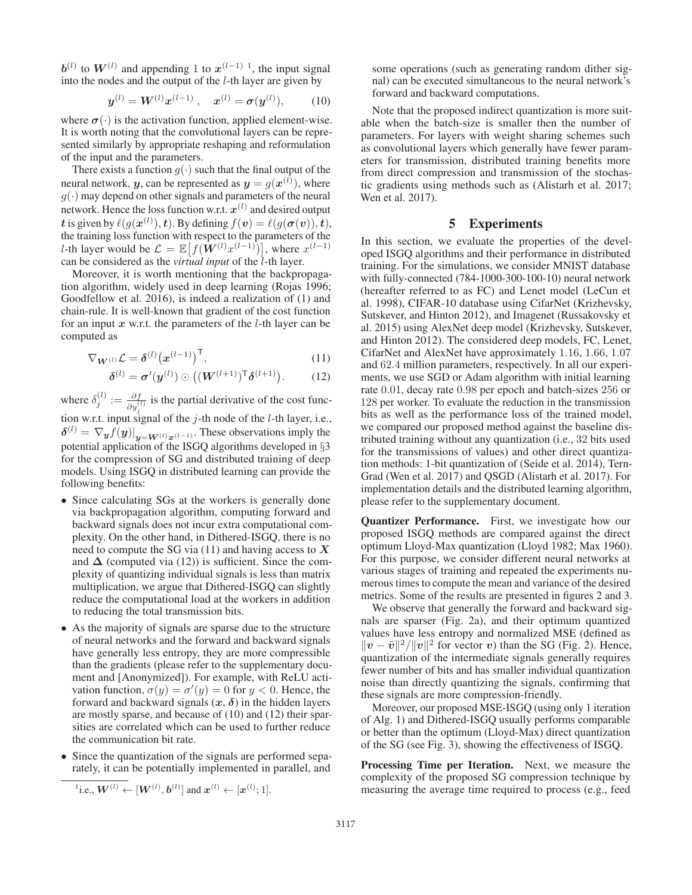**to**  $**W**<sup>(l)</sup>$  **and appending 1 to**  $**x**<sup>(l-1) 1</sup>$ **, the input signal** into the nodes and the output of the  $l$ -th layer are given by

$$
\mathbf{y}^{(l)} = \mathbf{W}^{(l)} \mathbf{x}^{(l-1)} , \quad \mathbf{x}^{(l)} = \boldsymbol{\sigma}(\mathbf{y}^{(l)}), \tag{10}
$$

where  $\sigma(\cdot)$  is the activation function, applied element-wise. It is worth noting that the convolutional layers can be represented similarly by appropriate reshaping and reformulation of the input and the parameters.

There exists a function  $g(\cdot)$  such that the final output of the neural network, *y*, can be represented as  $y = g(x^{(l)})$ , where  $g(.)$  may denend on other signals and parameters of the neural  $g(\cdot)$  may depend on other signals and parameters of the neural network. Hence the loss function w.r.t.  $x^{(l)}$  and desired output *t* is given by  $\ell(g(\mathbf{x}^{(l)}), t)$ . By defining  $f(\mathbf{v}) = \ell(g(\sigma(\mathbf{v})), t)$ , the training loss function with respect to the parameters of the the training loss function with respect to the parameters of the l-th layer would be  $\mathcal{L} = \mathbb{E}\left[f(\mathbf{W}^{(l)}x^{(l-1)})\right]$ , where  $x^{(l-1)}$  can be considered as the *virtual input* of the *l*-th layer can be considered as the *virtual input* of the *l*-th layer.

Moreover, it is worth mentioning that the backpropagation algorithm, widely used in deep learning (Rojas 1996; Goodfellow et al. 2016), is indeed a realization of (1) and chain-rule. It is well-known that gradient of the cost function for an input  $x$  w.r.t. the parameters of the  $l$ -th layer can be computed as

$$
\nabla_{\mathbf{W}^{(l)}} \mathcal{L} = \delta^{(l)} (\mathbf{x}^{(l-1)})^{\mathsf{T}},\tag{11}
$$

$$
\boldsymbol{\delta}^{(l)} = \boldsymbol{\sigma}'(\boldsymbol{y}^{(l)}) \odot ((\boldsymbol{W}^{(l+1)})^{\mathsf{T}} \boldsymbol{\delta}^{(l+1)}).
$$
 (12)

where  $\delta_j^{(l)} := \frac{\partial f}{\partial y_j^{(l)}}$  is the partial derivative of the cost function w.r.t. input signal of the  $j$ -th node of the  $l$ -th layer, i.e.,  $\delta^{(l)} = \nabla_y f(y)|_{y = W^{(l)}x^{(l-1)}}$ . These observations imply the potential application of the ISGO algorithms developed in §3 potential application of the ISGQ algorithms developed in §3 for the compression of SG and distributed training of deep models. Using ISGQ in distributed learning can provide the following benefits:

- Since calculating SGs at the workers is generally done via backpropagation algorithm, computing forward and backward signals does not incur extra computational complexity. On the other hand, in Dithered-ISGQ, there is no need to compute the SG via (11) and having access to *X* and  $\Delta$  (computed via (12)) is sufficient. Since the complexity of quantizing individual signals is less than matrix multiplication, we argue that Dithered-ISGQ can slightly reduce the computational load at the workers in addition to reducing the total transmission bits.
- As the majority of signals are sparse due to the structure of neural networks and the forward and backward signals have generally less entropy, they are more compressible than the gradients (please refer to the supplementary document and [Anonymized]). For example, with ReLU activation function,  $\sigma(y) = \sigma'(y) = 0$  for  $y < 0$ . Hence, the forward and backward signals  $(x, \delta)$  in the hidden layers forward and backward signals  $(x, \delta)$  in the hidden layers are mostly sparse, and because of (10) and (12) their sparsities are correlated which can be used to further reduce the communication bit rate.
- Since the quantization of the signals are performed separately, it can be potentially implemented in parallel, and

<sup>1</sup>i.e., 
$$
W^{(l)} \leftarrow [W^{(l)}, b^{(l)}]
$$
 and  $x^{(l)} \leftarrow [x^{(l)}; 1]$ .

some operations (such as generating random dither signal) can be executed simultaneous to the neural network's forward and backward computations.

Note that the proposed indirect quantization is more suitable when the batch-size is smaller then the number of parameters. For layers with weight sharing schemes such as convolutional layers which generally have fewer parameters for transmission, distributed training benefits more from direct compression and transmission of the stochastic gradients using methods such as (Alistarh et al. 2017; Wen et al. 2017).

# 5 Experiments

In this section, we evaluate the properties of the developed ISGQ algorithms and their performance in distributed training. For the simulations, we consider MNIST database with fully-connected (784-1000-300-100-10) neural network (hereafter referred to as FC) and Lenet model (LeCun et al. 1998), CIFAR-10 database using CifarNet (Krizhevsky, Sutskever, and Hinton 2012), and Imagenet (Russakovsky et al. 2015) using AlexNet deep model (Krizhevsky, Sutskever, and Hinton 2012). The considered deep models, FC, Lenet, CifarNet and AlexNet have approximately 1.16, 1.66, 1.07 and 62.4 million parameters, respectively. In all our experiments, we use SGD or Adam algorithm with initial learning rate 0.01, decay rate 0.98 per epoch and batch-sizes 256 or 128 per worker. To evaluate the reduction in the transmission bits as well as the performance loss of the trained model, we compared our proposed method against the baseline distributed training without any quantization (i.e., 32 bits used for the transmissions of values) and other direct quantization methods: 1-bit quantization of (Seide et al. 2014), Tern-Grad (Wen et al. 2017) and QSGD (Alistarh et al. 2017). For implementation details and the distributed learning algorithm, please refer to the supplementary document.

Quantizer Performance. First, we investigate how our proposed ISGQ methods are compared against the direct optimum Lloyd-Max quantization (Lloyd 1982; Max 1960). For this purpose, we consider different neural networks at various stages of training and repeated the experiments numerous times to compute the mean and variance of the desired metrics. Some of the results are presented in figures 2 and 3.

We observe that generally the forward and backward signals are sparser (Fig. 2a), and their optimum quantized values have less entropy and normalized MSE (defined as  $||v - \tilde{v}||^2 / ||v||^2$  for vector *v*) than the SG (Fig. 2). Hence, quantization of the intermediate signals generally requires fewer number of bits and has smaller individual quantization noise than directly quantizing the signals, confirming that these signals are more compression-friendly.

Moreover, our proposed MSE-ISGQ (using only 1 iteration of Alg. 1) and Dithered-ISGQ usually performs comparable or better than the optimum (Lloyd-Max) direct quantization of the SG (see Fig. 3), showing the effectiveness of ISGQ.

Processing Time per Iteration. Next, we measure the complexity of the proposed SG compression technique by measuring the average time required to process (e.g., feed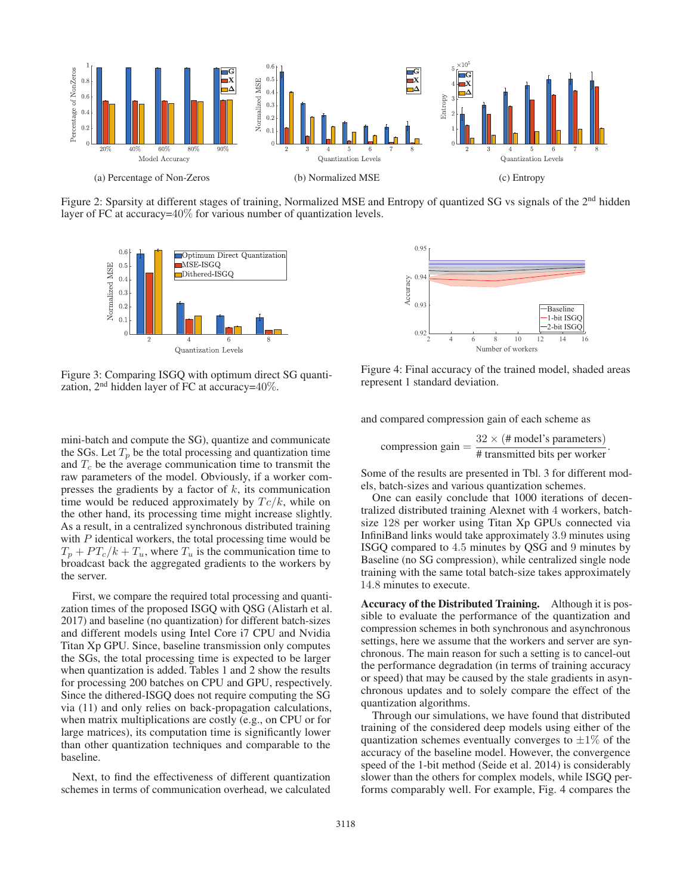

Figure 2: Sparsity at different stages of training, Normalized MSE and Entropy of quantized SG vs signals of the 2<sup>nd</sup> hidden layer of FC at accuracy=40% for various number of quantization levels.



Figure 3: Comparing ISGQ with optimum direct SG quantization,  $2<sup>nd</sup>$  hidden layer of FC at accuracy= $40\%$ .

mini-batch and compute the SG), quantize and communicate the SGs. Let  $T_p$  be the total processing and quantization time and  $T_c$  be the average communication time to transmit the raw parameters of the model. Obviously, if a worker compresses the gradients by a factor of  $k$ , its communication time would be reduced approximately by  $T_c/k$ , while on the other hand, its processing time might increase slightly. As a result, in a centralized synchronous distributed training with  $P$  identical workers, the total processing time would be  $T_p + PT_c/k + T_u$ , where  $T_u$  is the communication time to broadcast back the aggregated gradients to the workers by the server.

First, we compare the required total processing and quantization times of the proposed ISGQ with QSG (Alistarh et al. 2017) and baseline (no quantization) for different batch-sizes and different models using Intel Core i7 CPU and Nvidia Titan Xp GPU. Since, baseline transmission only computes the SGs, the total processing time is expected to be larger when quantization is added. Tables 1 and 2 show the results for processing 200 batches on CPU and GPU, respectively. Since the dithered-ISGQ does not require computing the SG via (11) and only relies on back-propagation calculations, when matrix multiplications are costly (e.g., on CPU or for large matrices), its computation time is significantly lower than other quantization techniques and comparable to the baseline.

Next, to find the effectiveness of different quantization schemes in terms of communication overhead, we calculated



Figure 4: Final accuracy of the trained model, shaded areas represent 1 standard deviation.

and compared compression gain of each scheme as

compression gain = 
$$
\frac{32 \times (\text{# model's parameters})}{\text{# transmitted bits per worker}}.
$$

Some of the results are presented in Tbl. 3 for different models, batch-sizes and various quantization schemes.

One can easily conclude that 1000 iterations of decentralized distributed training Alexnet with 4 workers, batchsize 128 per worker using Titan Xp GPUs connected via InfiniBand links would take approximately 3.9 minutes using ISGQ compared to 4.5 minutes by QSG and 9 minutes by Baseline (no SG compression), while centralized single node training with the same total batch-size takes approximately 14.8 minutes to execute.

Accuracy of the Distributed Training. Although it is possible to evaluate the performance of the quantization and compression schemes in both synchronous and asynchronous settings, here we assume that the workers and server are synchronous. The main reason for such a setting is to cancel-out the performance degradation (in terms of training accuracy or speed) that may be caused by the stale gradients in asynchronous updates and to solely compare the effect of the quantization algorithms.

Through our simulations, we have found that distributed training of the considered deep models using either of the quantization schemes eventually converges to  $\pm 1\%$  of the accuracy of the baseline model. However, the convergence speed of the 1-bit method (Seide et al. 2014) is considerably slower than the others for complex models, while ISGQ performs comparably well. For example, Fig. 4 compares the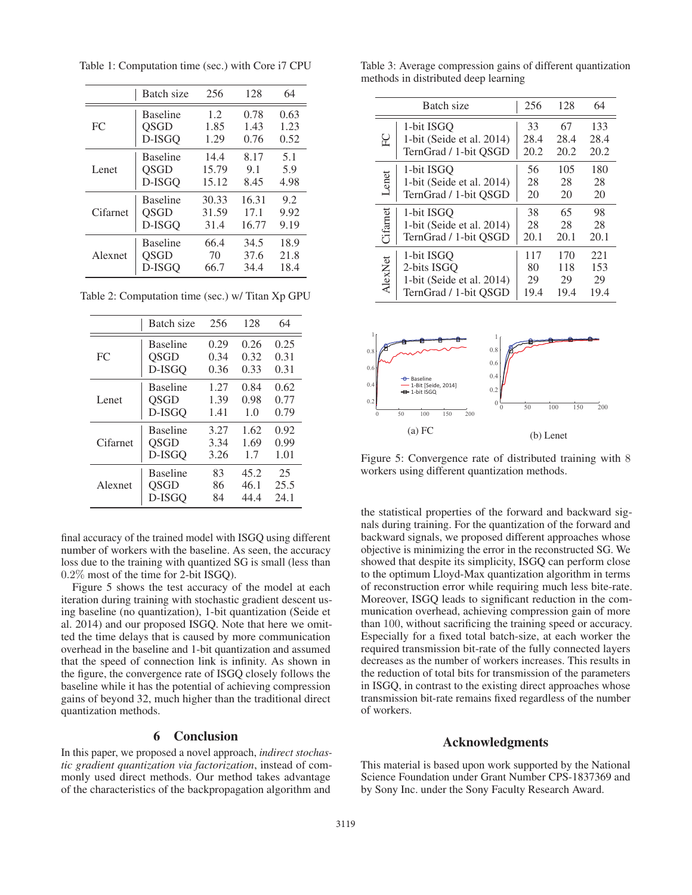Batch size 256 128 64 Baseline 1.2 0.78 0.63 FC | QSGD 1.85 1.43 1.23 D-ISGQ 1.29 0.76 0.52 Baseline 14.4 8.17 5.1 Lenet | OSGD 15.79 9.1 5.9 D-ISGQ 15.12 8.45 4.98 Baseline 30.33 16.31 9.2 Cifarnet | QSGD 31.59 17.1 9.92 D-ISGQ 31.4 16.77 9.19 Baseline 66.4 34.5 18.9 Alexnet | QSGD 70 37.6 21.8 D-ISGQ 66.7 34.4 18.4

Table 1: Computation time (sec.) with Core i7 CPU

Table 2: Computation time (sec.) w/ Titan Xp GPU

|          | Batch size      | 256  | 128  | 64   |
|----------|-----------------|------|------|------|
| FC       | <b>Baseline</b> | 0.29 | 0.26 | 0.25 |
|          | <b>OSGD</b>     | 0.34 | 0.32 | 0.31 |
|          | D-ISGO          | 0.36 | 0.33 | 0.31 |
| Lenet    | <b>Baseline</b> | 1.27 | 0.84 | 0.62 |
|          | <b>OSGD</b>     | 1.39 | 0.98 | 0.77 |
|          | D-ISGO          | 1.41 | 1.0  | 0.79 |
| Cifarnet | <b>Baseline</b> | 3.27 | 1.62 | 0.92 |
|          | <b>OSGD</b>     | 3.34 | 1.69 | 0.99 |
|          | D-ISGO          | 3.26 | 1.7  | 1.01 |
| Alexnet  | <b>Baseline</b> | 83   | 45.2 | 25   |
|          | <b>OSGD</b>     | 86   | 46.1 | 25.5 |
|          | D-ISGO          | 84   | 44.4 | 24.1 |

final accuracy of the trained model with ISGQ using different number of workers with the baseline. As seen, the accuracy loss due to the training with quantized SG is small (less than 0.2% most of the time for 2-bit ISGQ).

Figure 5 shows the test accuracy of the model at each iteration during training with stochastic gradient descent using baseline (no quantization), 1-bit quantization (Seide et al. 2014) and our proposed ISGQ. Note that here we omitted the time delays that is caused by more communication overhead in the baseline and 1-bit quantization and assumed that the speed of connection link is infinity. As shown in the figure, the convergence rate of ISGQ closely follows the baseline while it has the potential of achieving compression gains of beyond 32, much higher than the traditional direct quantization methods.

#### 6 Conclusion

In this paper, we proposed a novel approach, *indirect stochastic gradient quantization via factorization*, instead of commonly used direct methods. Our method takes advantage of the characteristics of the backpropagation algorithm and

Table 3: Average compression gains of different quantization methods in distributed deep learning

| Batch size |                              | 256  | 128  | 64   |
|------------|------------------------------|------|------|------|
| FC         | 1-bit ISGO                   | 33   | 67   | 133  |
|            | 1-bit (Seide et al. 2014)    | 28.4 | 28.4 | 28.4 |
|            | TernGrad / 1-bit QSGD        | 20.2 | 20.2 | 20.2 |
| Lenet      | 1-bit ISGO                   | 56   | 105  | 180  |
|            | 1-bit (Seide et al. 2014)    | 28   | 28   | 28   |
|            | TernGrad / 1-bit QSGD        | 20   | 20   | 20   |
| Cifarnet   | 1-bit ISGO                   | 38   | 65   | 98   |
|            | 1-bit (Seide et al. 2014)    | 28   | 28   | 28   |
|            | TernGrad / 1-bit QSGD        | 20.1 | 20.1 | 20.1 |
| AlexNet    | 1-bit ISGO                   | 117  | 170  | 221  |
|            | 2-bits ISGO                  | 80   | 118  | 153  |
|            | 1-bit (Seide et al. $2014$ ) | 29   | 29   | 29   |
|            | TernGrad / 1-bit OSGD        | 19.4 | 19.4 | 19.4 |



Figure 5: Convergence rate of distributed training with 8 workers using different quantization methods.

the statistical properties of the forward and backward signals during training. For the quantization of the forward and backward signals, we proposed different approaches whose objective is minimizing the error in the reconstructed SG. We showed that despite its simplicity, ISGQ can perform close to the optimum Lloyd-Max quantization algorithm in terms of reconstruction error while requiring much less bite-rate. Moreover, ISGQ leads to significant reduction in the communication overhead, achieving compression gain of more than 100, without sacrificing the training speed or accuracy. Especially for a fixed total batch-size, at each worker the required transmission bit-rate of the fully connected layers decreases as the number of workers increases. This results in the reduction of total bits for transmission of the parameters in ISGQ, in contrast to the existing direct approaches whose transmission bit-rate remains fixed regardless of the number of workers.

## Acknowledgments

This material is based upon work supported by the National Science Foundation under Grant Number CPS-1837369 and by Sony Inc. under the Sony Faculty Research Award.